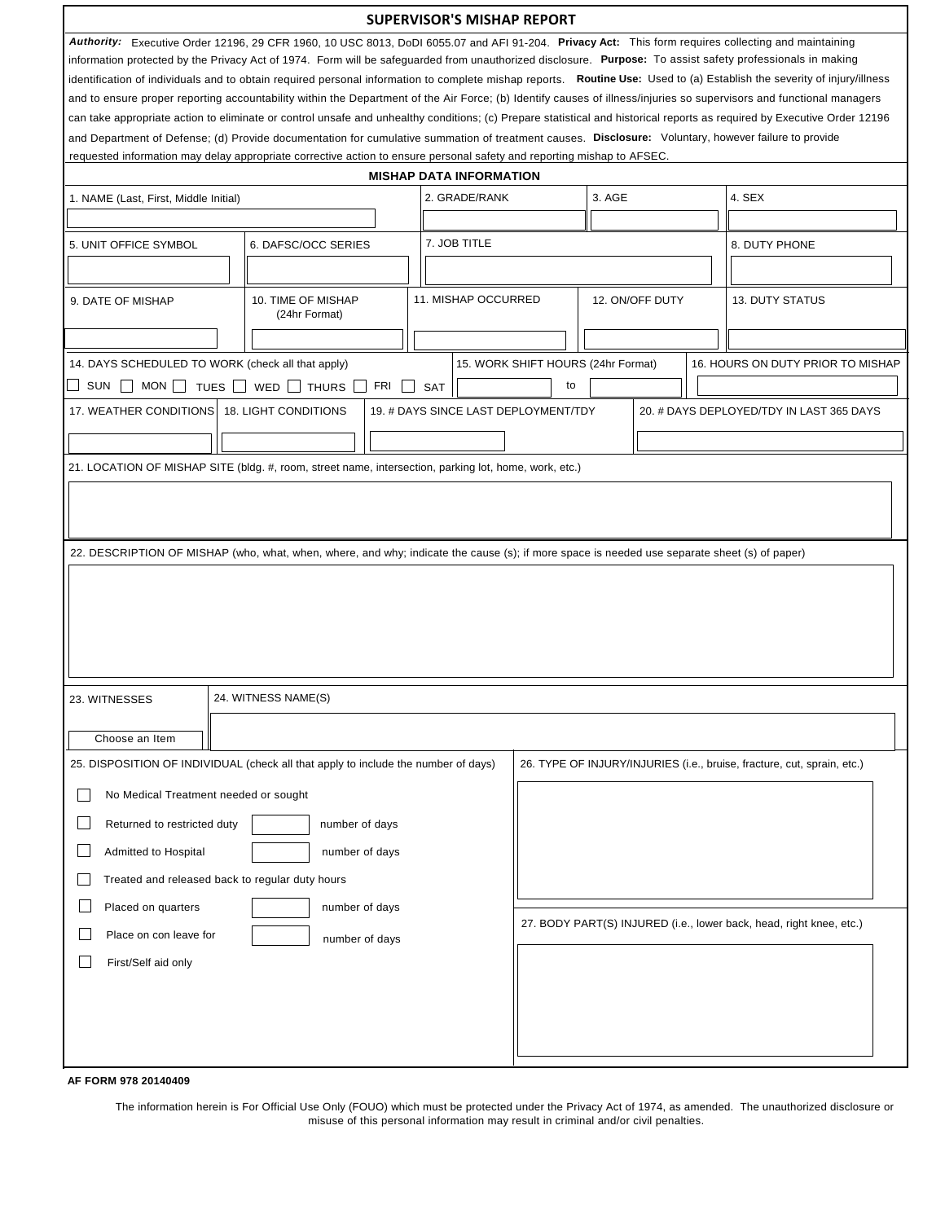|                                                                                                                                                                                                                                                                                                                                                  |                                                                                                                                                                                                                                                                                |     | <b>SUPERVISOR'S MISHAP REPORT</b>    |                                    |                 |  |                                                                         |  |
|--------------------------------------------------------------------------------------------------------------------------------------------------------------------------------------------------------------------------------------------------------------------------------------------------------------------------------------------------|--------------------------------------------------------------------------------------------------------------------------------------------------------------------------------------------------------------------------------------------------------------------------------|-----|--------------------------------------|------------------------------------|-----------------|--|-------------------------------------------------------------------------|--|
|                                                                                                                                                                                                                                                                                                                                                  | Authority: Executive Order 12196, 29 CFR 1960, 10 USC 8013, DoDI 6055.07 and AFI 91-204. Privacy Act: This form requires collecting and maintaining                                                                                                                            |     |                                      |                                    |                 |  |                                                                         |  |
| information protected by the Privacy Act of 1974. Form will be safeguarded from unauthorized disclosure. Purpose: To assist safety professionals in making                                                                                                                                                                                       |                                                                                                                                                                                                                                                                                |     |                                      |                                    |                 |  |                                                                         |  |
| identification of individuals and to obtain required personal information to complete mishap reports. Routine Use: Used to (a) Establish the severity of injury/illness                                                                                                                                                                          |                                                                                                                                                                                                                                                                                |     |                                      |                                    |                 |  |                                                                         |  |
| and to ensure proper reporting accountability within the Department of the Air Force; (b) Identify causes of illness/injuries so supervisors and functional managers<br>can take appropriate action to eliminate or control unsafe and unhealthy conditions; (c) Prepare statistical and historical reports as required by Executive Order 12196 |                                                                                                                                                                                                                                                                                |     |                                      |                                    |                 |  |                                                                         |  |
|                                                                                                                                                                                                                                                                                                                                                  |                                                                                                                                                                                                                                                                                |     |                                      |                                    |                 |  |                                                                         |  |
|                                                                                                                                                                                                                                                                                                                                                  | and Department of Defense; (d) Provide documentation for cumulative summation of treatment causes. Disclosure: Voluntary, however failure to provide<br>requested information may delay appropriate corrective action to ensure personal safety and reporting mishap to AFSEC. |     |                                      |                                    |                 |  |                                                                         |  |
|                                                                                                                                                                                                                                                                                                                                                  |                                                                                                                                                                                                                                                                                |     | <b>MISHAP DATA INFORMATION</b>       |                                    |                 |  |                                                                         |  |
| 2. GRADE/RANK<br>3. AGE<br>4. SEX<br>1. NAME (Last, First, Middle Initial)                                                                                                                                                                                                                                                                       |                                                                                                                                                                                                                                                                                |     |                                      |                                    |                 |  |                                                                         |  |
|                                                                                                                                                                                                                                                                                                                                                  |                                                                                                                                                                                                                                                                                |     |                                      |                                    |                 |  |                                                                         |  |
|                                                                                                                                                                                                                                                                                                                                                  |                                                                                                                                                                                                                                                                                |     |                                      |                                    |                 |  |                                                                         |  |
|                                                                                                                                                                                                                                                                                                                                                  | 7. JOB TITLE<br>5. UNIT OFFICE SYMBOL<br>6. DAFSC/OCC SERIES<br>8. DUTY PHONE                                                                                                                                                                                                  |     |                                      |                                    |                 |  |                                                                         |  |
|                                                                                                                                                                                                                                                                                                                                                  |                                                                                                                                                                                                                                                                                |     |                                      |                                    |                 |  |                                                                         |  |
| 9. DATE OF MISHAP                                                                                                                                                                                                                                                                                                                                | 10. TIME OF MISHAP                                                                                                                                                                                                                                                             |     | 11. MISHAP OCCURRED                  |                                    | 12. ON/OFF DUTY |  | <b>13. DUTY STATUS</b>                                                  |  |
|                                                                                                                                                                                                                                                                                                                                                  | (24hr Format)                                                                                                                                                                                                                                                                  |     |                                      |                                    |                 |  |                                                                         |  |
|                                                                                                                                                                                                                                                                                                                                                  |                                                                                                                                                                                                                                                                                |     |                                      |                                    |                 |  |                                                                         |  |
|                                                                                                                                                                                                                                                                                                                                                  | 14. DAYS SCHEDULED TO WORK (check all that apply)                                                                                                                                                                                                                              |     |                                      | 15. WORK SHIFT HOURS (24hr Format) |                 |  | 16. HOURS ON DUTY PRIOR TO MISHAP                                       |  |
| SUN                                                                                                                                                                                                                                                                                                                                              | MON $\Box$ TUES $\Box$ WED $\Box$ THURS $\Box$                                                                                                                                                                                                                                 | FRI | <b>SAT</b>                           | to                                 |                 |  |                                                                         |  |
| 17. WEATHER CONDITIONS 18. LIGHT CONDITIONS                                                                                                                                                                                                                                                                                                      |                                                                                                                                                                                                                                                                                |     | 19. # DAYS SINCE LAST DEPLOYMENT/TDY |                                    |                 |  | 20. # DAYS DEPLOYED/TDY IN LAST 365 DAYS                                |  |
|                                                                                                                                                                                                                                                                                                                                                  |                                                                                                                                                                                                                                                                                |     |                                      |                                    |                 |  |                                                                         |  |
|                                                                                                                                                                                                                                                                                                                                                  |                                                                                                                                                                                                                                                                                |     |                                      |                                    |                 |  |                                                                         |  |
|                                                                                                                                                                                                                                                                                                                                                  | 21. LOCATION OF MISHAP SITE (bldg. #, room, street name, intersection, parking lot, home, work, etc.)                                                                                                                                                                          |     |                                      |                                    |                 |  |                                                                         |  |
|                                                                                                                                                                                                                                                                                                                                                  |                                                                                                                                                                                                                                                                                |     |                                      |                                    |                 |  |                                                                         |  |
|                                                                                                                                                                                                                                                                                                                                                  |                                                                                                                                                                                                                                                                                |     |                                      |                                    |                 |  |                                                                         |  |
|                                                                                                                                                                                                                                                                                                                                                  |                                                                                                                                                                                                                                                                                |     |                                      |                                    |                 |  |                                                                         |  |
|                                                                                                                                                                                                                                                                                                                                                  | 22. DESCRIPTION OF MISHAP (who, what, when, where, and why; indicate the cause (s); if more space is needed use separate sheet (s) of paper)                                                                                                                                   |     |                                      |                                    |                 |  |                                                                         |  |
|                                                                                                                                                                                                                                                                                                                                                  |                                                                                                                                                                                                                                                                                |     |                                      |                                    |                 |  |                                                                         |  |
|                                                                                                                                                                                                                                                                                                                                                  |                                                                                                                                                                                                                                                                                |     |                                      |                                    |                 |  |                                                                         |  |
|                                                                                                                                                                                                                                                                                                                                                  |                                                                                                                                                                                                                                                                                |     |                                      |                                    |                 |  |                                                                         |  |
|                                                                                                                                                                                                                                                                                                                                                  |                                                                                                                                                                                                                                                                                |     |                                      |                                    |                 |  |                                                                         |  |
|                                                                                                                                                                                                                                                                                                                                                  |                                                                                                                                                                                                                                                                                |     |                                      |                                    |                 |  |                                                                         |  |
|                                                                                                                                                                                                                                                                                                                                                  |                                                                                                                                                                                                                                                                                |     |                                      |                                    |                 |  |                                                                         |  |
| 23. WITNESSES                                                                                                                                                                                                                                                                                                                                    | 24. WITNESS NAME(S)                                                                                                                                                                                                                                                            |     |                                      |                                    |                 |  |                                                                         |  |
|                                                                                                                                                                                                                                                                                                                                                  |                                                                                                                                                                                                                                                                                |     |                                      |                                    |                 |  |                                                                         |  |
| Choose an Item                                                                                                                                                                                                                                                                                                                                   |                                                                                                                                                                                                                                                                                |     |                                      |                                    |                 |  |                                                                         |  |
|                                                                                                                                                                                                                                                                                                                                                  | 25. DISPOSITION OF INDIVIDUAL (check all that apply to include the number of days)                                                                                                                                                                                             |     |                                      |                                    |                 |  | 26. TYPE OF INJURY/INJURIES (i.e., bruise, fracture, cut, sprain, etc.) |  |
| No Medical Treatment needed or sought                                                                                                                                                                                                                                                                                                            |                                                                                                                                                                                                                                                                                |     |                                      |                                    |                 |  |                                                                         |  |
|                                                                                                                                                                                                                                                                                                                                                  |                                                                                                                                                                                                                                                                                |     |                                      |                                    |                 |  |                                                                         |  |
| Returned to restricted duty                                                                                                                                                                                                                                                                                                                      | number of days                                                                                                                                                                                                                                                                 |     |                                      |                                    |                 |  |                                                                         |  |
| Admitted to Hospital                                                                                                                                                                                                                                                                                                                             | number of days                                                                                                                                                                                                                                                                 |     |                                      |                                    |                 |  |                                                                         |  |
|                                                                                                                                                                                                                                                                                                                                                  | Treated and released back to regular duty hours                                                                                                                                                                                                                                |     |                                      |                                    |                 |  |                                                                         |  |
| Placed on quarters                                                                                                                                                                                                                                                                                                                               | number of days                                                                                                                                                                                                                                                                 |     |                                      |                                    |                 |  |                                                                         |  |
| Place on con leave for                                                                                                                                                                                                                                                                                                                           | number of days                                                                                                                                                                                                                                                                 |     |                                      |                                    |                 |  | 27. BODY PART(S) INJURED (i.e., lower back, head, right knee, etc.)     |  |
| First/Self aid only                                                                                                                                                                                                                                                                                                                              |                                                                                                                                                                                                                                                                                |     |                                      |                                    |                 |  |                                                                         |  |
|                                                                                                                                                                                                                                                                                                                                                  |                                                                                                                                                                                                                                                                                |     |                                      |                                    |                 |  |                                                                         |  |
|                                                                                                                                                                                                                                                                                                                                                  |                                                                                                                                                                                                                                                                                |     |                                      |                                    |                 |  |                                                                         |  |
|                                                                                                                                                                                                                                                                                                                                                  |                                                                                                                                                                                                                                                                                |     |                                      |                                    |                 |  |                                                                         |  |
|                                                                                                                                                                                                                                                                                                                                                  |                                                                                                                                                                                                                                                                                |     |                                      |                                    |                 |  |                                                                         |  |
|                                                                                                                                                                                                                                                                                                                                                  |                                                                                                                                                                                                                                                                                |     |                                      |                                    |                 |  |                                                                         |  |

## **AF FORM 978 20140409**

The information herein is For Official Use Only (FOUO) which must be protected under the Privacy Act of 1974, as amended. The unauthorized disclosure or misuse of this personal information may result in criminal and/or civil penalties.